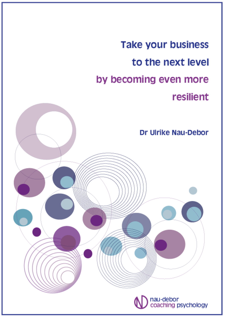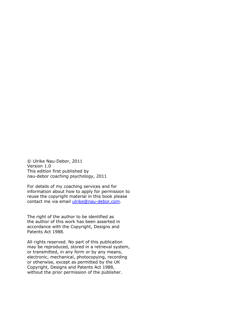© Ulrike Nau-Debor, 2011 Version 1.0 This edition first published by nau-debor coaching psychology, 2011

For details of my coaching services and for information about how to apply for permission to reuse the copyright material in this book please contact me via email [ulrike@nau-debor.com.](mailto:ulrike@nau-debor.com)

The right of the author to be identified as the author of this work has been asserted in accordance with the Copyright, Designs and Patents Act 1988.

All rights reserved. No part of this publication may be reproduced, stored in a retrieval system, or transmitted, in any form or by any means, electronic, mechanical, photocopying, recording or otherwise, except as permitted by the UK Copyright, Designs and Patents Act 1988, without the prior permission of the publisher.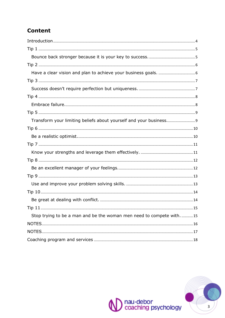# **Content**

| Stop trying to be a man and be the woman men need to compete with15 |
|---------------------------------------------------------------------|
|                                                                     |
|                                                                     |

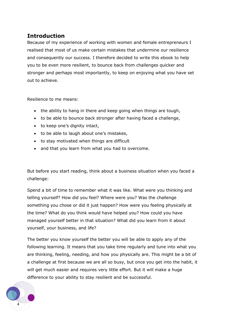# **Introduction**

Because of my experience of working with women and female entrepreneurs I realised that most of us make certain mistakes that undermine our resilience and consequently our success. I therefore decided to write this ebook to help you to be even more resilient, to bounce back from challenges quicker and stronger and perhaps most importantly, to keep on enjoying what you have set out to achieve.

Resilience to me means:

- the ability to hang in there and keep going when things are tough,
- to be able to bounce back stronger after having faced a challenge,
- to keep one's dignity intact,
- to be able to laugh about one's mistakes,
- to stay motivated when things are difficult
- and that you learn from what you had to overcome.

But before you start reading, think about a business situation when you faced a challenge:

Spend a bit of time to remember what it was like. What were you thinking and telling yourself? How did you feel? Where were you? Was the challenge something you chose or did it just happen? How were you feeling physically at the time? What do you think would have helped you? How could you have managed yourself better in that situation? What did you learn from it about yourself, your business, and life?

The better you know yourself the better you will be able to apply any of the following learning. It means that you take time regularly and tune into what you are thinking, feeling, needing, and how you physically are. This might be a bit of a challenge at first because we are all so busy, but once you get into the habit, it will get much easier and requires very little effort. But it will make a huge difference to your ability to stay resilient and be successful.

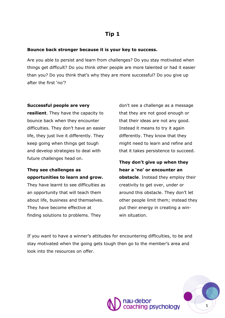#### **Bounce back stronger because it is your key to success.**

Are you able to persist and learn from challenges? Do you stay motivated when things get difficult? Do you think other people are more talented or had it easier than you? Do you think that's why they are more successful? Do you give up after the first 'no'?

#### **Successful people are very**

**resilient**. They have the capacity to bounce back when they encounter difficulties. They don't have an easier life, they just live it differently. They keep going when things get tough and develop strategies to deal with future challenges head on.

## **They see challenges as opportunities to learn and grow.**

They have learnt to see difficulties as an opportunity that will teach them about life, business and themselves. They have become effective at finding solutions to problems. They

don't see a challenge as a message that they are not good enough or that their ideas are not any good. Instead it means to try it again differently. They know that they might need to learn and refine and that it takes persistence to succeed.

### **They don't give up when they hear a 'no' or encounter an**

**obstacle**. Instead they employ their creativity to get over, under or around this obstacle. They don't let other people limit them; instead they put their energy in creating a winwin situation.

If you want to have a winner's attitudes for encountering difficulties, to be and stay motivated when the going gets tough then go to the member's area and look into the resources on offer.



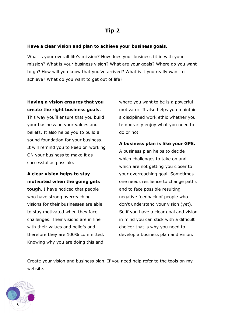#### **Have a clear vision and plan to achieve your business goals.**

What is your overall life's mission? How does your business fit in with your mission? What is your business vision? What are your goals? Where do you want to go? How will you know that you've arrived? What is it you really want to achieve? What do you want to get out of life?

### **Having a vision ensures that you create the right business goals.**

This way you'll ensure that you build your business on your values and beliefs. It also helps you to build a sound foundation for your business. It will remind you to keep on working ON your business to make it as successful as possible.

**A clear vision helps to stay motivated when the going gets** 

**tough**. I have noticed that people who have strong overreaching visions for their businesses are able to stay motivated when they face challenges. Their visions are in line with their values and beliefs and therefore they are 100% committed. Knowing why you are doing this and

where you want to be is a powerful motivator. It also helps you maintain a disciplined work ethic whether you temporarily enjoy what you need to do or not.

# **A business plan is like your GPS.** A business plan helps to decide which challenges to take on and which are not getting you closer to your overreaching goal. Sometimes one needs resilience to change paths and to face possible resulting negative feedback of people who don't understand your vision (yet). So if you have a clear goal and vision in mind you can stick with a difficult choice; that is why you need to develop a business plan and vision.

Create your vision and business plan. If you need help refer to the tools on my website.

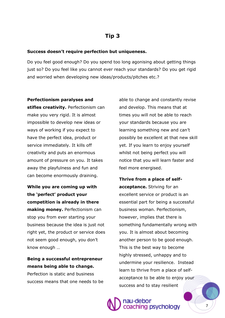#### **Success doesn't require perfection but uniqueness.**

Do you feel good enough? Do you spend too long agonising about getting things just so? Do you feel like you cannot ever reach your standards? Do you get rigid and worried when developing new ideas/products/pitches etc.?

**Perfectionism paralyses and stifles creativity.** Perfectionism can make you very rigid. It is almost impossible to develop new ideas or ways of working if you expect to have the perfect idea, product or service immediately. It kills off creativity and puts an enormous amount of pressure on you. It takes away the playfulness and fun and can become enormously draining.

**While you are coming up with the 'perfect' product your competition is already in there making money.** Perfectionism can stop you from ever starting your business because the idea is just not right yet, the product or service does not seem good enough, you don't know enough …

### **Being a successful entrepreneur means being able to change.**

Perfection is static and business success means that one needs to be able to change and constantly revise and develop. This means that at times you will not be able to reach your standards because you are learning something new and can't possibly be excellent at that new skill yet. If you learn to enjoy yourself whilst not being perfect you will notice that you will learn faster and feel more energised.

**Thrive from a place of selfacceptance.** Striving for an excellent service or product is an essential part for being a successful business woman. Perfectionism, however, implies that there is something fundamentally wrong with you. It is almost about becoming another person to be good enough. This is the best way to become highly stressed, unhappy and to undermine your resilience. Instead learn to thrive from a place of selfacceptance to be able to enjoy your success and to stay resilient

7

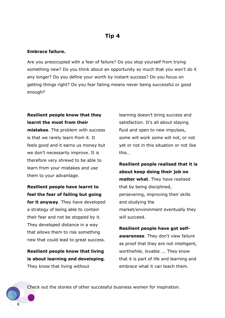#### **Embrace failure.**

Are you preoccupied with a fear of failure? Do you stop yourself from trying something new? Do you think about an opportunity so much that you won't do it any longer? Do you define your worth by instant success? Do you focus on getting things right? Do you fear failing means never being successful or good enough?

### **Resilient people know that they learnt the most from their**

**mistakes**. The problem with success is that we rarely learn from it. It feels good and it earns us money but we don't necessarily improve. It is therefore very shrewd to be able to learn from your mistakes and use them to your advantage.

**Resilient people have learnt to feel the fear of failing but going for it anyway**. They have developed a strategy of being able to contain their fear and not be stopped by it. They developed distance in a way that allows them to risk something new that could lead to great success.

**Resilient people know that living is about learning and developing**. They know that living without

8

learning doesn't bring success and satisfaction. It's all about staying fluid and open to new impulses, some will work some will not, or not yet or not in this situation or not like this…

**Resilient people realised that it is about keep doing their job no matter what**. They have realised that by being disciplined, persevering, improving their skills and studying the market/environment eventually they will succeed.

**Resilient people have got selfawareness**. They don't view failure as proof that they are not intelligent, worthwhile, lovable ... They know that it is part of life and learning and embrace what it can teach them.

Check out the stories of other successful business women for inspiration.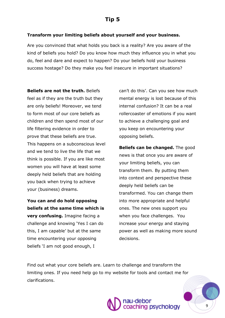#### **Transform your limiting beliefs about yourself and your business.**

Are you convinced that what holds you back is a reality? Are you aware of the kind of beliefs you hold? Do you know how much they influence you in what you do, feel and dare and expect to happen? Do your beliefs hold your business success hostage? Do they make you feel insecure in important situations?

**Beliefs are not the truth.** Beliefs feel as if they are the truth but they are only beliefs! Moreover, we tend to form most of our core beliefs as children and then spend most of our life filtering evidence in order to prove that these beliefs are true. This happens on a subconscious level and we tend to live the life that we think is possible. If you are like most women you will have at least some deeply held beliefs that are holding you back when trying to achieve your (business) dreams.

**You can and do hold opposing beliefs at the same time which is very confusing.** Imagine facing a challenge and knowing 'Yes I can do this, I am capable' but at the same time encountering your opposing beliefs 'I am not good enough, I

can't do this'. Can you see how much mental energy is lost because of this internal confusion? It can be a real rollercoaster of emotions if you want to achieve a challenging goal and you keep on encountering your opposing beliefs.

**Beliefs can be changed.** The good news is that once you are aware of your limiting beliefs, you can transform them. By putting them into context and perspective these deeply held beliefs can be transformed. You can change them into more appropriate and helpful ones. The new ones support you when you face challenges. You increase your energy and staying power as well as making more sound decisions.

Find out what your core beliefs are. Learn to challenge and transform the limiting ones. If you need help go to my website for tools and contact me for clarifications.



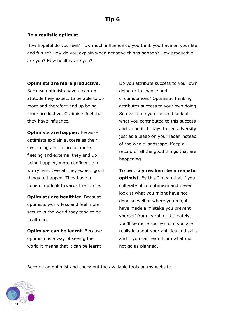#### **Be a realistic optimist.**

How hopeful do you feel? How much influence do you think you have on your life and future? How do you explain when negative things happen? How productive are you? How healthy are you?

#### **Optimists are more productive.**

Because optimists have a can-do attitude they expect to be able to do more and therefore end up being more productive. Optimists feel that they have influence.

**Optimists are happier.** Because optimists explain success as their own doing and failure as more fleeting and external they end up being happier, more confident and worry less. Overall they expect good things to happen. They have a hopeful outlook towards the future.

**Optimists are healthier.** Because optimists worry less and feel more secure in the world they tend to be healthier.

**Optimism can be learnt.** Because optimism is a way of seeing the world it means that it can be learnt!

Do you attribute success to your own doing or to chance and circumstances? Optimistic thinking attributes success to your own doing. So next time you succeed look at what you contributed to this success and value it. It pays to see adversity just as a bleep on your radar instead of the whole landscape. Keep a record of all the good things that are happening.

**To be truly resilient be a realistic optimist.** By this I mean that if you cultivate blind optimism and never look at what you might have not done so well or where you might have made a mistake you prevent yourself from learning. Ultimately, you'll be more successful if you are realistic about your abilities and skills and if you can learn from what did not go as planned.

Become an optimist and check out the available tools on my website.

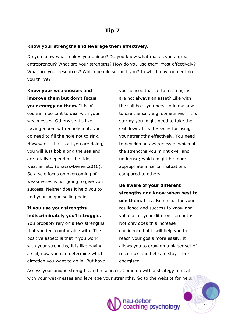#### **Know your strengths and leverage them effectively.**

Do you know what makes you unique? Do you know what makes you a great entrepreneur? What are your strengths? How do you use them most effectively? What are your resources? Which people support you? In which environment do you thrive?

**Know your weaknesses and improve them but don't focus your energy on them.** It is of course important to deal with your weaknesses. Otherwise it's like having a boat with a hole in it: you do need to fill the hole not to sink. However, if that is all you are doing, you will just bob along the sea and are totally depend on the tide, weather etc. (Biswas-Diener,2010). So a sole focus on overcoming of weaknesses is not going to give you success. Neither does it help you to find your unique selling point.

### **If you use your strengths indiscriminately you'll struggle.**

You probably rely on a few strengths that you feel comfortable with. The positive aspect is that if you work with your strengths, it is like having a sail, now you can determine which direction you want to go in. But have you noticed that certain strengths are not always an asset? Like with the sail boat you need to know how to use the sail, e.g. sometimes if it is stormy you might need to take the sail down. It is the same for using your strengths effectively. You need to develop an awareness of which of the strengths you might over and underuse; which might be more appropriate in certain situations compared to others.

**Be aware of your different strengths and know when best to use them.** It is also crucial for your resilience and success to know and value all of your different strengths. Not only does this increase confidence but it will help you to reach your goals more easily. It allows you to draw on a bigger set of resources and helps to stay more energised.

11

Assess your unique strengths and resources. Come up with a strategy to deal with your weaknesses and leverage your strengths. Go to the website for help.

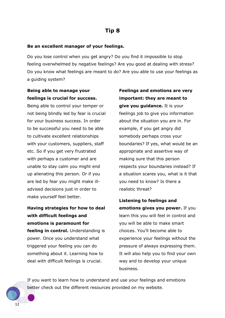#### **Be an excellent manager of your feelings.**

Do you lose control when you get angry? Do you find it impossible to stop feeling overwhelmed by negative feelings? Are you good at dealing with stress? Do you know what feelings are meant to do? Are you able to use your feelings as a guiding system?

### **Being able to manage your feelings is crucial for success.**

Being able to control your temper or not being blindly led by fear is crucial for your business success. In order to be successful you need to be able to cultivate excellent relationships with your customers, suppliers, staff etc. So if you get very frustrated with perhaps a customer and are unable to stay calm you might end up alienating this person. Or if you are led by fear you might make illadvised decisions just in order to make yourself feel better.

**Having strategies for how to deal with difficult feelings and emotions is paramount for feeling in control.** Understanding is power. Once you understand what triggered your feeling you can do something about it. Learning how to deal with difficult feelings is crucial.

**Feelings and emotions are very important: they are meant to give you guidance.** It is your feelings job to give you information about the situation you are in. For example, if you get angry did somebody perhaps cross your boundaries? If yes, what would be an appropriate and assertive way of making sure that this person respects your boundaries instead? If a situation scares you, what is it that you need to know? Is there a realistic threat?

**Listening to feelings and emotions gives you power.** If you learn this you will feel in control and you will be able to make smart choices. You'll become able to experience your feelings without the pressure of always expressing them. It will also help you to find your own way and to develop your unique business.

If you want to learn how to understand and use your feelings and emotions better check out the different resources provided on my website.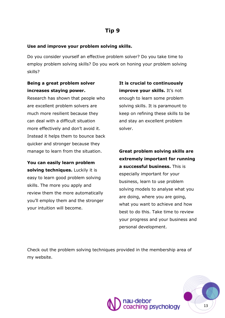#### **Use and improve your problem solving skills.**

Do you consider yourself an effective problem solver? Do you take time to employ problem solving skills? Do you work on honing your problem solving skills?

### **Being a great problem solver increases staying power.**

Research has shown that people who are excellent problem solvers are much more resilient because they can deal with a difficult situation more effectively and don't avoid it. Instead it helps them to bounce back quicker and stronger because they manage to learn from the situation.

**You can easily learn problem solving techniques.** Luckily it is easy to learn good problem solving skills. The more you apply and review them the more automatically you'll employ them and the stronger your intuition will become.

**It is crucial to continuously improve your skills.** It's not enough to learn some problem solving skills. It is paramount to keep on refining these skills to be and stay an excellent problem solver.

**Great problem solving skills are extremely important for running a successful business.** This is especially important for your business, learn to use problem solving models to analyse what you are doing, where you are going, what you want to achieve and how best to do this. Take time to review your progress and your business and personal development.

Check out the problem solving techniques provided in the membership area of my website.



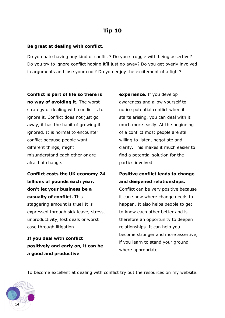#### **Be great at dealing with conflict.**

Do you hate having any kind of conflict? Do you struggle with being assertive? Do you try to ignore conflict hoping it'll just go away? Do you get overly involved in arguments and lose your cool? Do you enjoy the excitement of a fight?

**Conflict is part of life so there is no way of avoiding it.** The worst strategy of dealing with conflict is to ignore it. Conflict does not just go away, it has the habit of growing if ignored. It is normal to encounter conflict because people want different things, might misunderstand each other or are afraid of change.

**Conflict costs the UK economy 24 billions of pounds each year, don't let your business be a casualty of conflict.** This staggering amount is true! It is expressed through sick leave, stress, unproductivity, lost deals or worst case through litigation.

**If you deal with conflict positively and early on, it can be a good and productive** 

**experience.** If you develop awareness and allow yourself to notice potential conflict when it starts arising, you can deal with it much more easily. At the beginning of a conflict most people are still willing to listen, negotiate and clarify. This makes it much easier to find a potential solution for the parties involved.

### **Positive conflict leads to change and deepened relationships.**

Conflict can be very positive because it can show where change needs to happen. It also helps people to get to know each other better and is therefore an opportunity to deepen relationships. It can help you become stronger and more assertive, if you learn to stand your ground where appropriate.

To become excellent at dealing with conflict try out the resources on my website.

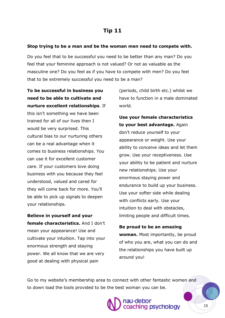#### **Stop trying to be a man and be the woman men need to compete with.**

Do you feel that to be successful you need to be better than any man? Do you feel that your feminine approach is not valued? Or not as valuable as the masculine one? Do you feel as if you have to compete with men? Do you feel that to be extremely successful you need to be a man?

**To be successful in business you need to be able to cultivate and nurture excellent relationships**. If this isn't something we have been trained for all of our lives then I would be very surprised. This cultural bias to our nurturing others can be a real advantage when it comes to business relationships. You can use it for excellent customer care. If your customers love doing business with you because they feel understood, valued and cared for they will come back for more. You'll be able to pick up signals to deepen your relationships.

**Believe in yourself and your female characteristics.** And I don't mean your appearance! Use and cultivate your intuition. Tap into your enormous strength and staying power. We all know that we are very good at dealing with physical pain

(periods, child birth etc.) whilst we have to function in a male dominated world.

**Use your female characteristics to your best advantage.** Again don't reduce yourself to your appearance or weight. Use your ability to conceive ideas and let them grow. Use your receptiveness. Use your ability to be patient and nurture new relationships. Use your enormous staying power and endurance to build up your business. Use your softer side while dealing with conflicts early. Use your intuition to deal with obstacles, limiting people and difficult times.

#### **Be proud to be an amazing**

**woman.** Most importantly, be proud of who you are, what you can do and the relationships you have built up around you!

Go to my website's membership area to connect with other fantastic women and to down load the tools provided to be the best woman you can be.

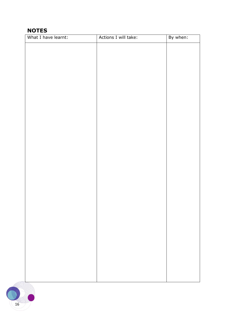# **NOTES**

| What I have learnt: | Actions I will take: | By when: |
|---------------------|----------------------|----------|
|                     |                      |          |
|                     |                      |          |
|                     |                      |          |
|                     |                      |          |
|                     |                      |          |
|                     |                      |          |
|                     |                      |          |
|                     |                      |          |
|                     |                      |          |
|                     |                      |          |
|                     |                      |          |
|                     |                      |          |
|                     |                      |          |
|                     |                      |          |
|                     |                      |          |
|                     |                      |          |
|                     |                      |          |
|                     |                      |          |
|                     |                      |          |
|                     |                      |          |
|                     |                      |          |
|                     |                      |          |
|                     |                      |          |
|                     |                      |          |
|                     |                      |          |
|                     |                      |          |
|                     |                      |          |
|                     |                      |          |
|                     |                      |          |
|                     |                      |          |

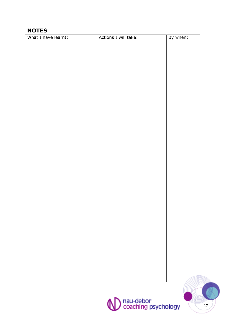# **NOTES**

| What I have learnt: | Actions I will take: | By when: |
|---------------------|----------------------|----------|
|                     |                      |          |
|                     |                      |          |
|                     |                      |          |
|                     |                      |          |
|                     |                      |          |
|                     |                      |          |
|                     |                      |          |
|                     |                      |          |
|                     |                      |          |
|                     |                      |          |
|                     |                      |          |
|                     |                      |          |
|                     |                      |          |
|                     |                      |          |
|                     |                      |          |
|                     |                      |          |
|                     |                      |          |
|                     |                      |          |
|                     |                      |          |
|                     |                      |          |
|                     |                      |          |
|                     |                      |          |
|                     |                      |          |
|                     |                      |          |
|                     |                      |          |
|                     |                      |          |
|                     |                      |          |
|                     |                      |          |
|                     |                      |          |
|                     |                      |          |
|                     |                      |          |
|                     |                      |          |
|                     |                      |          |
|                     |                      |          |
|                     |                      |          |
|                     |                      |          |
|                     |                      |          |